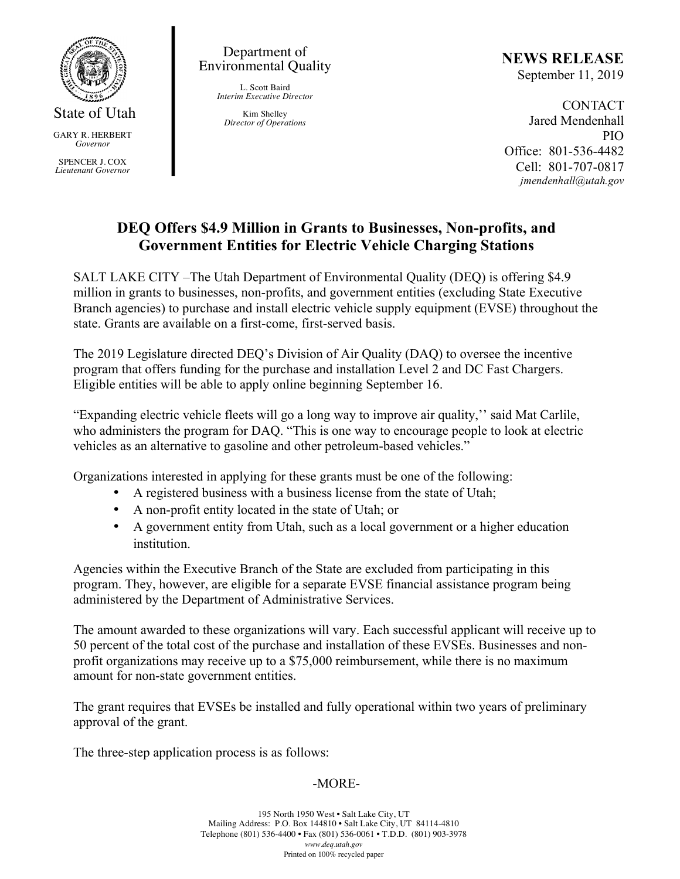

GARY R. HERBERT *Governor* SPENCER J. COX *Lieutenant Governor*

Department of Environmental Quality

> L. Scott Baird *Interim Executive Director*

Kim Shelley *Director of Operations* **NEWS RELEASE** September 11, 2019

CONTACT Jared Mendenhall PIO Office: 801-536-4482 Cell: 801-707-0817 *jmendenhall@utah.gov*

## **DEQ Offers \$4.9 Million in Grants to Businesses, Non-profits, and Government Entities for Electric Vehicle Charging Stations**

SALT LAKE CITY –The Utah Department of Environmental Quality (DEQ) is offering \$4.9 million in grants to businesses, non-profits, and government entities (excluding State Executive Branch agencies) to purchase and install electric vehicle supply equipment (EVSE) throughout the state. Grants are available on a first-come, first-served basis.

The 2019 Legislature directed DEQ's Division of Air Quality (DAQ) to oversee the incentive program that offers funding for the purchase and installation Level 2 and DC Fast Chargers. Eligible entities will be able to apply online beginning September 16.

"Expanding electric vehicle fleets will go a long way to improve air quality,'' said Mat Carlile, who administers the program for DAQ. "This is one way to encourage people to look at electric vehicles as an alternative to gasoline and other petroleum-based vehicles."

Organizations interested in applying for these grants must be one of the following:

- A registered business with a business license from the state of Utah;
- A non-profit entity located in the state of Utah; or
- A government entity from Utah, such as a local government or a higher education institution.

Agencies within the Executive Branch of the State are excluded from participating in this program. They, however, are eligible for a separate EVSE financial assistance program being administered by the Department of Administrative Services.

The amount awarded to these organizations will vary. Each successful applicant will receive up to 50 percent of the total cost of the purchase and installation of these EVSEs. Businesses and nonprofit organizations may receive up to a \$75,000 reimbursement, while there is no maximum amount for non-state government entities.

The grant requires that EVSEs be installed and fully operational within two years of preliminary approval of the grant.

The three-step application process is as follows:

## -MORE-

195 North 1950 West • Salt Lake City, UT Mailing Address: P.O. Box 144810 • Salt Lake City, UT 84114-4810 Telephone (801) 536-4400 • Fax (801) 536-0061 • T.D.D. (801) 903-3978 *www.deq.utah.gov* Printed on 100% recycled paper